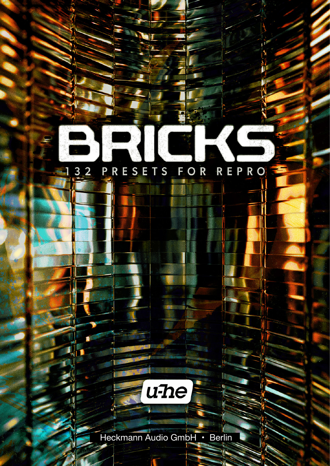## 132 PRESETS FOR REPRO

Λ

Ñ

 $\mathbf{C}$ 

Į

K

**ALLEY** 



Ŧ

η,

Ą

Heckmann Audio GmbH • Berlin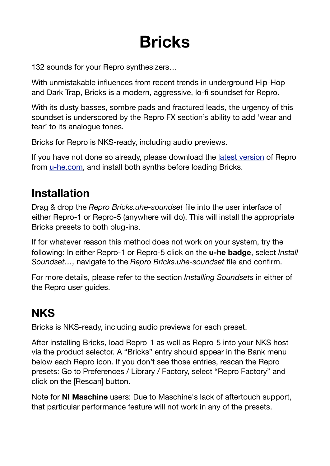# **Bricks**

132 sounds for your Repro synthesizers…

With unmistakable influences from recent trends in underground Hip-Hop and Dark Trap, Bricks is a modern, aggressive, lo-fi soundset for Repro.

With its dusty basses, sombre pads and fractured leads, the urgency of this soundset is underscored by the Repro FX section's ability to add 'wear and tear' to its analogue tones.

Bricks for Repro is NKS-ready, including audio previews.

If you have not done so already, please download the [latest version](https://u-he.com/products/repro/) of Repro from [u-he.com](http://u-he.com), and install both synths before loading Bricks.

# **Installation**

Drag & drop the *Repro Bricks.uhe-soundset* file into the user interface of either Repro-1 or Repro-5 (anywhere will do). This will install the appropriate Bricks presets to both plug-ins.

If for whatever reason this method does not work on your system, try the following: In either Repro-1 or Repro-5 click on the **u-he badge**, select *Install Soundset…,* navigate to the *Repro Bricks.uhe-soundset* file and confirm.

For more details, please refer to the section *Installing Soundsets* in either of the Repro user guides.

# **NKS**

Bricks is NKS-ready, including audio previews for each preset.

After installing Bricks, load Repro-1 as well as Repro-5 into your NKS host via the product selector. A "Bricks" entry should appear in the Bank menu below each Repro icon. If you don't see those entries, rescan the Repro presets: Go to Preferences / Library / Factory, select "Repro Factory" and click on the [Rescan] button.

Note for **NI Maschine** users: Due to Maschine's lack of aftertouch support, that particular performance feature will not work in any of the presets.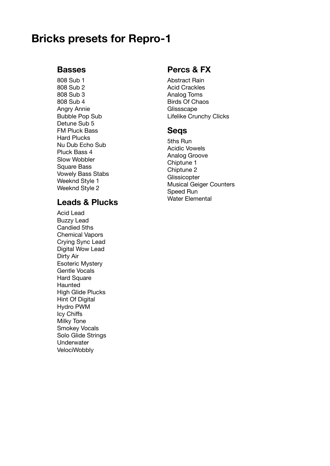### **Bricks presets for Repro-1**

#### **Basses**

808 Sub 1 808 Sub 2 808 Sub 3 808 Sub 4 Angry Annie Bubble Pop Sub Detune Sub 5 FM Pluck Bass Hard Plucks Nu Dub Echo Sub Pluck Bass 4 Slow Wobbler Square Bass Vowely Bass Stabs Weeknd Style 1 Weeknd Style 2

#### **Leads & Plucks**

Acid Lead Buzzy Lead Candied 5ths Chemical Vapors Crying Sync Lead Digital Wow Lead Dirty Air Esoteric Mystery Gentle Vocals **Hard Square** Haunted High Glide Plucks Hint Of Digital Hydro PWM Icy Chiffs Milky Tone Smokey Vocals Solo Glide Strings **Underwater** VelociWobbly

#### **Percs & FX**

Abstract Rain Acid Crackles Analog Toms Birds Of Chaos **Glissscape** Lifelike Crunchy Clicks

#### **Seqs**

5ths Run Acidic Vowels Analog Groove Chiptune 1 Chiptune 2 **Glissicopter** Musical Geiger Counters Speed Run Water Elemental